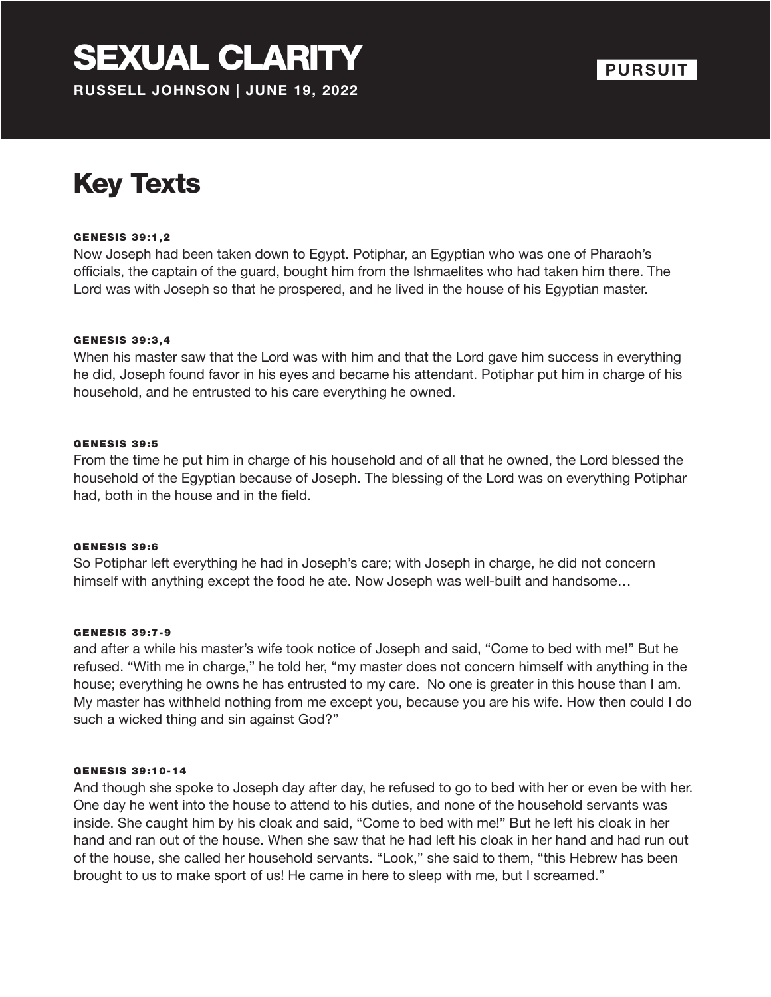## SEXUAL CLARITY **RUSSELL JOHNSON | JUNE 19, 2022**



# Key Texts

#### GENESIS 39:1,2

Now Joseph had been taken down to Egypt. Potiphar, an Egyptian who was one of Pharaoh's officials, the captain of the guard, bought him from the Ishmaelites who had taken him there. The Lord was with Joseph so that he prospered, and he lived in the house of his Egyptian master.

#### **GENESIS 39:3,4**

When his master saw that the Lord was with him and that the Lord gave him success in everything he did, Joseph found favor in his eyes and became his attendant. Potiphar put him in charge of his household, and he entrusted to his care everything he owned.

#### GENESIS 39:5

From the time he put him in charge of his household and of all that he owned, the Lord blessed the household of the Egyptian because of Joseph. The blessing of the Lord was on everything Potiphar had, both in the house and in the field.

#### **GENESIS 39:6**

So Potiphar left everything he had in Joseph's care; with Joseph in charge, he did not concern himself with anything except the food he ate. Now Joseph was well-built and handsome…

#### GENESIS 39:7-9

and after a while his master's wife took notice of Joseph and said, "Come to bed with me!" But he refused. "With me in charge," he told her, "my master does not concern himself with anything in the house; everything he owns he has entrusted to my care. No one is greater in this house than I am. My master has withheld nothing from me except you, because you are his wife. How then could I do such a wicked thing and sin against God?"

#### GENESIS 39:10-14

And though she spoke to Joseph day after day, he refused to go to bed with her or even be with her. One day he went into the house to attend to his duties, and none of the household servants was inside. She caught him by his cloak and said, "Come to bed with me!" But he left his cloak in her hand and ran out of the house. When she saw that he had left his cloak in her hand and had run out of the house, she called her household servants. "Look," she said to them, "this Hebrew has been brought to us to make sport of us! He came in here to sleep with me, but I screamed."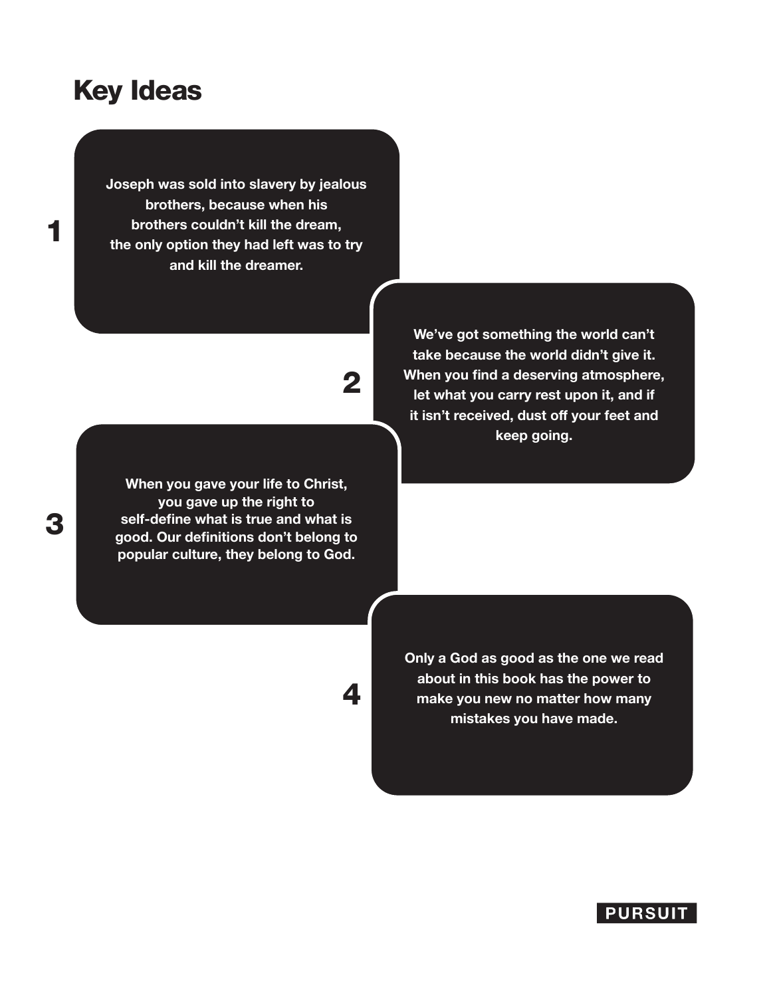### Key Ideas

**Joseph was sold into slavery by jealous brothers, because when his brothers couldn't kill the dream, the only option they had left was to try and kill the dreamer.**

2

**When you gave your life to Christ, you gave up the right to self-define what is true and what is good. Our definitions don't belong to popular culture, they belong to God.**

**We've got something the world can't take because the world didn't give it. When you find a deserving atmosphere, let what you carry rest upon it, and if it isn't received, dust off your feet and keep going.**

4

**Only a God as good as the one we read about in this book has the power to make you new no matter how many mistakes you have made.**



### 3

1